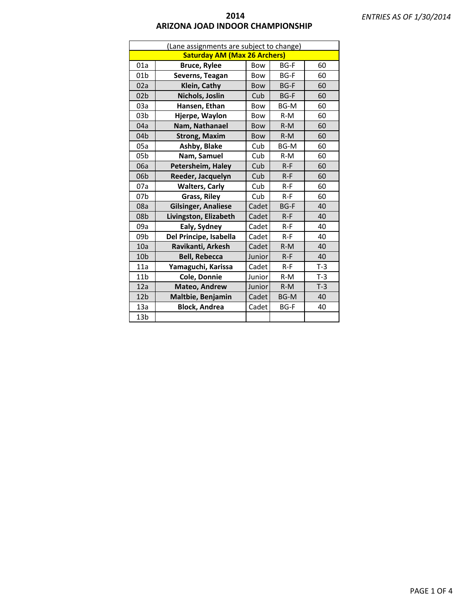| (Lane assignments are subject to change) |                                     |            |             |       |  |  |
|------------------------------------------|-------------------------------------|------------|-------------|-------|--|--|
|                                          | <b>Saturday AM (Max 26 Archers)</b> |            |             |       |  |  |
| 01a                                      | <b>Bruce, Rylee</b>                 | Bow        | <b>BG-F</b> | 60    |  |  |
| 01 <sub>b</sub>                          | Severns, Teagan                     | Bow        | <b>BG-F</b> | 60    |  |  |
| 02a                                      | Klein, Cathy                        | <b>Bow</b> | <b>BG-F</b> | 60    |  |  |
| 02 <sub>b</sub>                          | Nichols, Joslin                     | Cub        | <b>BG-F</b> | 60    |  |  |
| 03a                                      | Hansen, Ethan                       | Bow        | BG-M        | 60    |  |  |
| 03 <sub>b</sub>                          | Hjerpe, Waylon                      | Bow        | $R-M$       | 60    |  |  |
| 04a                                      | Nam, Nathanael                      | <b>Bow</b> | $R-M$       | 60    |  |  |
| 04 <sub>b</sub>                          | <b>Strong, Maxim</b>                | <b>Bow</b> | $R-M$       | 60    |  |  |
| 05a                                      | Ashby, Blake                        | Cub        | <b>BG-M</b> | 60    |  |  |
| 05 <sub>b</sub>                          | Nam, Samuel                         | Cub        | $R-M$       | 60    |  |  |
| 06a                                      | Petersheim, Haley                   | Cub        | $R-F$       | 60    |  |  |
| 06 <sub>b</sub>                          | Reeder, Jacquelyn                   | Cub        | $R-F$       | 60    |  |  |
| 07a                                      | <b>Walters, Carly</b>               | Cub        | $R-F$       | 60    |  |  |
| 07b                                      | Grass, Riley                        | Cub        | $R-F$       | 60    |  |  |
| 08a                                      | <b>Gilsinger, Analiese</b>          | Cadet      | <b>BG-F</b> | 40    |  |  |
| 08 <sub>b</sub>                          | Livingston, Elizabeth               | Cadet      | $R-F$       | 40    |  |  |
| 09a                                      | Ealy, Sydney                        | Cadet      | $R-F$       | 40    |  |  |
| 09b                                      | Del Principe, Isabella              | Cadet      | $R-F$       | 40    |  |  |
| 10a                                      | Ravikanti, Arkesh                   | Cadet      | $R-M$       | 40    |  |  |
| 10b                                      | <b>Bell, Rebecca</b>                | Junior     | $R-F$       | 40    |  |  |
| 11a                                      | Yamaguchi, Karissa                  | Cadet      | $R-F$       | $T-3$ |  |  |
| 11 <sub>b</sub>                          | Cole, Donnie                        | Junior     | $R-M$       | $T-3$ |  |  |
| 12a                                      | Mateo, Andrew                       | Junior     | $R-M$       | $T-3$ |  |  |
| 12 <sub>b</sub>                          | Maltbie, Benjamin                   | Cadet      | <b>BG-M</b> | 40    |  |  |
| 13a                                      | <b>Block, Andrea</b>                | Cadet      | <b>BG-F</b> | 40    |  |  |
| 13b                                      |                                     |            |             |       |  |  |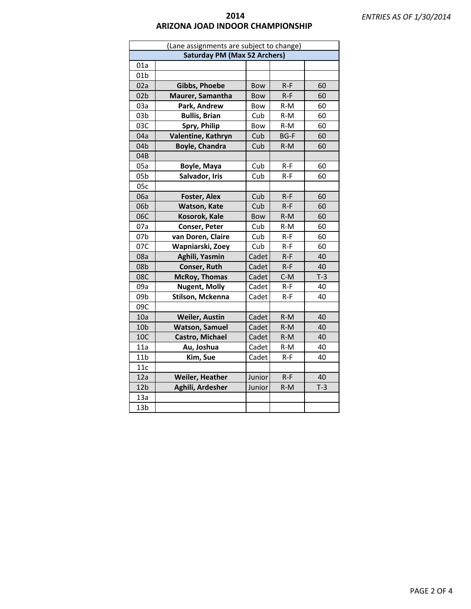| (Lane assignments are subject to change) |                                     |            |             |       |
|------------------------------------------|-------------------------------------|------------|-------------|-------|
|                                          | <b>Saturday PM (Max 52 Archers)</b> |            |             |       |
| 01a                                      |                                     |            |             |       |
| 01 <sub>b</sub>                          |                                     |            |             |       |
| 02a                                      | <b>Gibbs, Phoebe</b>                | <b>Bow</b> | $R-F$       | 60    |
| 02 <sub>b</sub>                          | Maurer, Samantha                    | <b>Bow</b> | $R-F$       | 60    |
| 03a                                      | Park, Andrew                        | Bow        | $R-M$       | 60    |
| 03 <sub>b</sub>                          | <b>Bullis, Brian</b>                | Cub        | $R-M$       | 60    |
| 03C                                      | Spry, Philip                        | Bow        | $R-M$       | 60    |
| 04a                                      | Valentine, Kathryn                  | Cub        | <b>BG-F</b> | 60    |
| 04 <sub>b</sub>                          | <b>Boyle, Chandra</b>               | Cub        | $R-M$       | 60    |
| 04B                                      |                                     |            |             |       |
| 05a                                      | Boyle, Maya                         | Cub        | $R - F$     | 60    |
| 05 <sub>b</sub>                          | Salvador, Iris                      | Cub        | $R-F$       | 60    |
| 05c                                      |                                     |            |             |       |
| 06a                                      | Foster, Alex                        | Cub        | $R-F$       | 60    |
| 06b                                      | Watson, Kate                        | Cub        | $R-F$       | 60    |
| 06C                                      | Kosorok, Kale                       | <b>Bow</b> | $R-M$       | 60    |
| 07a                                      | Conser, Peter                       | Cub        | $R-M$       | 60    |
| 07b                                      | van Doren, Claire                   | Cub        | $R-F$       | 60    |
| 07C                                      | Wapniarski, Zoey                    | Cub        | $R-F$       | 60    |
| 08a                                      | Aghili, Yasmin                      | Cadet      | $R-F$       | 40    |
| 08b                                      | Conser, Ruth                        | Cadet      | $R-F$       | 40    |
| 08C                                      | <b>McRoy, Thomas</b>                | Cadet      | $C-M$       | $T-3$ |
| 09a                                      | <b>Nugent, Molly</b>                | Cadet      | $R-F$       | 40    |
| 09b                                      | Stilson, Mckenna                    | Cadet      | $R-F$       | 40    |
| 09C                                      |                                     |            |             |       |
| 10a                                      | <b>Weiler, Austin</b>               | Cadet      | $R-M$       | 40    |
| 10 <sub>b</sub>                          | <b>Watson, Samuel</b>               | Cadet      | $R-M$       | 40    |
| 10C                                      | Castro, Michael                     | Cadet      | $R-M$       | 40    |
| 11a                                      | Au, Joshua                          | Cadet      | $R-M$       | 40    |
| 11 <sub>b</sub>                          | Kim, Sue                            | Cadet      | $R-F$       | 40    |
| 11c                                      |                                     |            |             |       |
| 12a                                      | <b>Weiler, Heather</b>              | Junior     | $R-F$       | 40    |
| 12 <sub>b</sub>                          | Aghili, Ardesher                    | Junior     | $R-M$       | $T-3$ |
| 13a                                      |                                     |            |             |       |
| 13 <sub>b</sub>                          |                                     |            |             |       |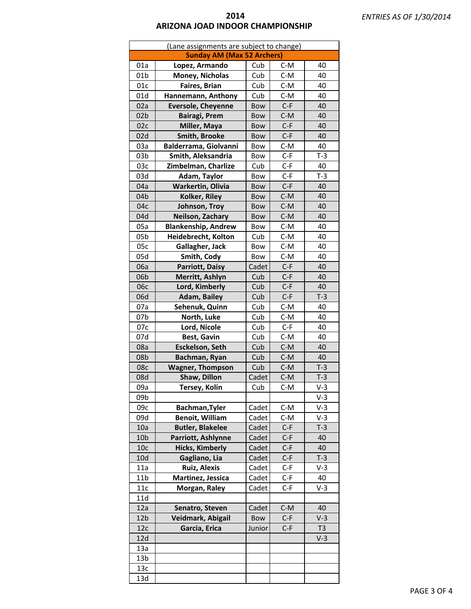| (Lane assignments are subject to change) |                                   |            |       |                |
|------------------------------------------|-----------------------------------|------------|-------|----------------|
|                                          | <b>Sunday AM (Max 52 Archers)</b> |            |       |                |
| 01a                                      | Lopez, Armando                    | Cub        | $C-M$ | 40             |
| 01 <sub>b</sub>                          | Money, Nicholas                   | Cub        | $C-M$ | 40             |
| 01c                                      | Faires, Brian                     | Cub        | $C-M$ | 40             |
| 01d                                      | Hannemann, Anthony                | Cub        | $C-M$ | 40             |
| 02a                                      | <b>Eversole, Cheyenne</b>         | Bow        | $C-F$ | 40             |
| 02 <sub>b</sub>                          | <b>Bairagi, Prem</b>              | Bow        | $C-M$ | 40             |
| 02c                                      | Miller, Maya                      | Bow        | $C-F$ | 40             |
| 02d                                      | <b>Smith, Brooke</b>              | Bow        | $C-F$ | 40             |
| 03a                                      | Balderrama, Giolvanni             | Bow        | $C-M$ | 40             |
| 03 <sub>b</sub>                          | Smith, Aleksandria                | Bow        | $C-F$ | $T-3$          |
| 03c                                      | Zimbelman, Charlize               | Cub        | $C-F$ | 40             |
| 03d                                      | Adam, Taylor                      | Bow        | $C-F$ | $T-3$          |
| 04a                                      | Warkertin, Olivia                 | Bow        | $C-F$ | 40             |
| 04b                                      | Kolker, Riley                     | Bow        | $C-M$ | 40             |
| 04c                                      | Johnson, Troy                     | <b>Bow</b> | $C-M$ | 40             |
| 04d                                      | Neilson, Zachary                  | Bow        | $C-M$ | 40             |
| 05a                                      | <b>Blankenship, Andrew</b>        | Bow        | $C-M$ | 40             |
| 05 <sub>b</sub>                          | Heidebrecht, Kolton               | Cub        | $C-M$ | 40             |
| 05c                                      | Gallagher, Jack                   | Bow        | $C-M$ | 40             |
| 05d                                      | Smith, Cody                       | Bow        | $C-M$ | 40             |
| 06a                                      | Parriott, Daisy                   | Cadet      | $C-F$ | 40             |
| 06 <sub>b</sub>                          | Merritt, Ashlyn                   | Cub        | $C-F$ | 40             |
| 06с                                      | Lord, Kimberly                    | Cub        | $C-F$ | 40             |
| 06d                                      | <b>Adam, Bailey</b>               | Cub        | $C-F$ | $T-3$          |
| 07a                                      | Sehenuk, Quinn                    | Cub        | $C-M$ | 40             |
| 07b                                      | North, Luke                       | Cub        | $C-M$ | 40             |
| 07c                                      | Lord, Nicole                      | Cub        | $C-F$ | 40             |
| 07d                                      | Best, Gavin                       | Cub        | $C-M$ | 40             |
| 08a                                      | <b>Esckelson, Seth</b>            | Cub        | $C-M$ | 40             |
| 08b                                      | Bachman, Ryan                     | Cub        | $C-M$ | 40             |
| 08c                                      | <b>Wagner, Thompson</b>           | Cub        | $C-M$ | $T-3$          |
| 08d                                      | Shaw, Dillon                      | Cadet      | $C-M$ | $T-3$          |
| 09a                                      | Tersey, Kolin                     | Cub        | C-M   | V-3            |
| 09b                                      |                                   |            |       | $V-3$          |
| 09с                                      | Bachman, Tyler                    | Cadet      | $C-M$ | $V-3$          |
| 09d                                      | <b>Benoit, William</b>            | Cadet      | $C-M$ | $V-3$          |
| 10a                                      | <b>Butler, Blakelee</b>           | Cadet      | $C-F$ | $T-3$          |
| 10 <sub>b</sub>                          | Parriott, Ashlynne                | Cadet      | $C-F$ | 40             |
| 10 <sub>c</sub>                          | <b>Hicks, Kimberly</b>            | Cadet      | $C-F$ | 40             |
| 10d                                      | Gagliano, Lia                     | Cadet      | $C-F$ | $T-3$          |
| 11a                                      | <b>Ruiz, Alexis</b>               | Cadet      | $C-F$ | $V-3$          |
| 11 <sub>b</sub>                          | Martinez, Jessica                 | Cadet      | $C-F$ | 40             |
| 11c                                      | Morgan, Raley                     | Cadet      | $C-F$ | $V-3$          |
| 11d                                      |                                   |            |       |                |
| 12a                                      | Senatro, Steven                   | Cadet      | $C-M$ | 40             |
| 12 <sub>b</sub>                          | Veidmark, Abigail                 | Bow        | $C-F$ | $V-3$          |
| 12c                                      | Garcia, Erica                     | Junior     | $C-F$ | T <sub>3</sub> |
| 12d                                      |                                   |            |       | $V-3$          |
| 13a                                      |                                   |            |       |                |
| 13b                                      |                                   |            |       |                |
| 13c                                      |                                   |            |       |                |
| 13d                                      |                                   |            |       |                |